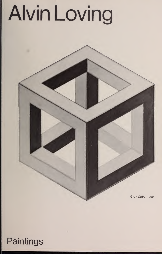## **Alvin Loving**

Gray Cube. 1969

## Paintings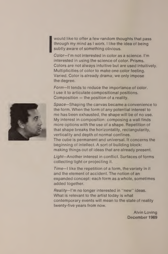$\blacksquare$  subtly aware of something obvious. would like to offer a few random thoughts that pass through my mind as <sup>I</sup> work. <sup>I</sup> like the idea of being

Color—I'm not interested in color as a science. I'm interested in using the science of color. Prisms. Colors are not always intuitive but are used intuitively. Multiplicities of color to make one color feeling. Varied. Color is already drama; we only impose the degree.

Form—It tends to reduce the importance of color. <sup>I</sup> use it to articulate compositional positions. Composition  $=$  the position of a reality.

Space—Shaping the canvas became a convenience to the form. When the form of any potential interest to me has been exhausted, the shape will be of no use. My interest in composition: composing a wall finds more options with the use of a shape. Repetition of that shape breaks the horizontality, rectangularity, verticality and depth of normal confines. The cube is permanent and universal. It concerns the beginning of intellect. A sort of building block: making things out of ideas that are already present.

Light—Another interest in conflict. Surfaces of forms collecting light or projecting it.

Time—\ like the repetition of a form, the variety in it and the element of accident. The notion of an expanded concept: each form as a whole, sometimes added together.

Reality-I'm no longer interested in "new" ideas. What is relevant to the artist today is what contemporary events will mean to the state of reality twenty-five years from now.

> Alvin Loving December 1969

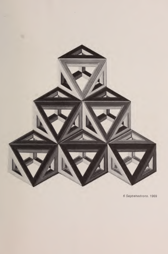

 $\sim 3\%$ 

6 Septehedrons. 1969